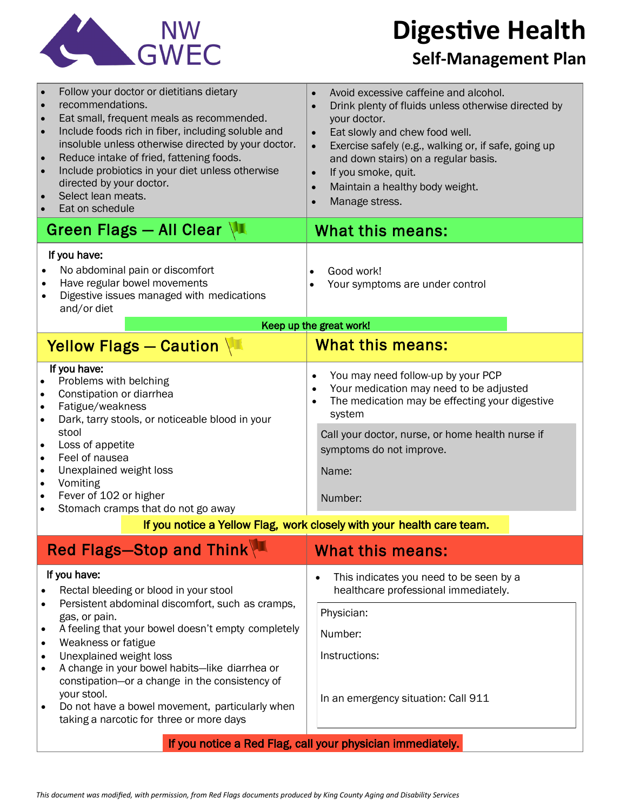

**Digestive Health** 

## **Self-Management Plan**

| recommendations.<br>$\bullet$<br>directed by your doctor.<br>Select lean meats.<br>Eat on schedule                                                                                                                                                                                                                                                                            | Follow your doctor or dietitians dietary<br>Eat small, frequent meals as recommended.<br>Include foods rich in fiber, including soluble and<br>insoluble unless otherwise directed by your doctor.<br>Reduce intake of fried, fattening foods.<br>Include probiotics in your diet unless otherwise | $\bullet$<br>$\bullet$<br>$\bullet$<br>$\bullet$<br>$\bullet$<br>$\bullet$<br>$\bullet$ | Avoid excessive caffeine and alcohol.<br>Drink plenty of fluids unless otherwise directed by<br>your doctor.<br>Eat slowly and chew food well.<br>Exercise safely (e.g., walking or, if safe, going up<br>and down stairs) on a regular basis.<br>If you smoke, quit.<br>Maintain a healthy body weight.<br>Manage stress. |  |
|-------------------------------------------------------------------------------------------------------------------------------------------------------------------------------------------------------------------------------------------------------------------------------------------------------------------------------------------------------------------------------|----------------------------------------------------------------------------------------------------------------------------------------------------------------------------------------------------------------------------------------------------------------------------------------------------|-----------------------------------------------------------------------------------------|----------------------------------------------------------------------------------------------------------------------------------------------------------------------------------------------------------------------------------------------------------------------------------------------------------------------------|--|
| Green Flags - All Clear                                                                                                                                                                                                                                                                                                                                                       |                                                                                                                                                                                                                                                                                                    |                                                                                         | What this means:                                                                                                                                                                                                                                                                                                           |  |
| If you have:<br>No abdominal pain or discomfort<br>$\bullet$<br>Have regular bowel movements<br>$\bullet$<br>Digestive issues managed with medications<br>and/or diet<br>Keep up the great work!                                                                                                                                                                              |                                                                                                                                                                                                                                                                                                    |                                                                                         | Good work!<br>Your symptoms are under control                                                                                                                                                                                                                                                                              |  |
|                                                                                                                                                                                                                                                                                                                                                                               |                                                                                                                                                                                                                                                                                                    |                                                                                         |                                                                                                                                                                                                                                                                                                                            |  |
|                                                                                                                                                                                                                                                                                                                                                                               | Yellow Flags - Caution                                                                                                                                                                                                                                                                             |                                                                                         | <b>What this means:</b>                                                                                                                                                                                                                                                                                                    |  |
| If you have:<br>Problems with belching<br>Constipation or diarrhea<br>Fatigue/weakness<br>$\bullet$<br>Dark, tarry stools, or noticeable blood in your<br>stool<br>Loss of appetite<br>$\bullet$<br>Feel of nausea<br>$\bullet$<br>Unexplained weight loss<br>$\bullet$<br>Vomiting<br>$\bullet$<br>Fever of 102 or higher<br>$\bullet$<br>Stomach cramps that do not go away |                                                                                                                                                                                                                                                                                                    | $\bullet$<br>$\bullet$<br>$\bullet$                                                     | You may need follow-up by your PCP<br>Your medication may need to be adjusted<br>The medication may be effecting your digestive<br>system<br>Call your doctor, nurse, or home health nurse if<br>symptoms do not improve.<br>Name:<br>Number:                                                                              |  |
|                                                                                                                                                                                                                                                                                                                                                                               |                                                                                                                                                                                                                                                                                                    |                                                                                         |                                                                                                                                                                                                                                                                                                                            |  |
| If you notice a Yellow Flag, work closely with your health care team.                                                                                                                                                                                                                                                                                                         |                                                                                                                                                                                                                                                                                                    |                                                                                         |                                                                                                                                                                                                                                                                                                                            |  |
|                                                                                                                                                                                                                                                                                                                                                                               | Red Flags-Stop and Think                                                                                                                                                                                                                                                                           |                                                                                         | <b>What this means:</b>                                                                                                                                                                                                                                                                                                    |  |
| If you have:<br>Rectal bleeding or blood in your stool<br>Persistent abdominal discomfort, such as cramps,<br>gas, or pain.                                                                                                                                                                                                                                                   |                                                                                                                                                                                                                                                                                                    | $\bullet$                                                                               | This indicates you need to be seen by a<br>healthcare professional immediately.                                                                                                                                                                                                                                            |  |
|                                                                                                                                                                                                                                                                                                                                                                               |                                                                                                                                                                                                                                                                                                    |                                                                                         | Physician:                                                                                                                                                                                                                                                                                                                 |  |
| A feeling that your bowel doesn't empty completely<br>$\bullet$                                                                                                                                                                                                                                                                                                               |                                                                                                                                                                                                                                                                                                    |                                                                                         | Number:                                                                                                                                                                                                                                                                                                                    |  |
| Weakness or fatigue<br>$\bullet$<br>Unexplained weight loss<br>$\bullet$                                                                                                                                                                                                                                                                                                      |                                                                                                                                                                                                                                                                                                    |                                                                                         | Instructions:                                                                                                                                                                                                                                                                                                              |  |
| A change in your bowel habits-like diarrhea or<br>constipation-or a change in the consistency of<br>your stool.<br>Do not have a bowel movement, particularly when<br>taking a narcotic for three or more days                                                                                                                                                                |                                                                                                                                                                                                                                                                                                    |                                                                                         | In an emergency situation: Call 911                                                                                                                                                                                                                                                                                        |  |
| If you notice a Red Flag, call your physician immediately.                                                                                                                                                                                                                                                                                                                    |                                                                                                                                                                                                                                                                                                    |                                                                                         |                                                                                                                                                                                                                                                                                                                            |  |